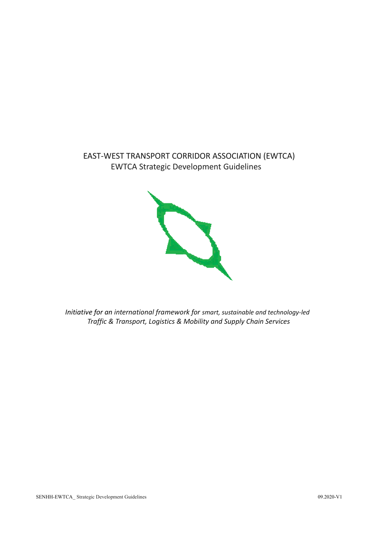# EAST-WEST TRANSPORT CORRIDOR ASSOCIATION (EWTCA) EWTCA Strategic Development Guidelines



*Initiative for an international framework for smart, sustainable and technology-led Traffic & Transport, Logistics & Mobility and Supply Chain Services*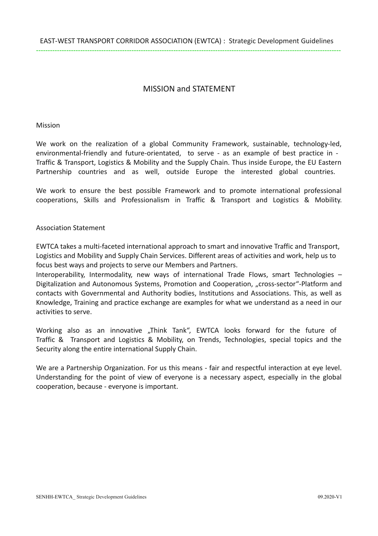## MISSION and STATEMENT

Mission

We work on the realization of a global Community Framework, sustainable, technology-led, environmental-friendly and future-orientated, to serve - as an example of best practice in - Traffic & Transport, Logistics & Mobility and the Supply Chain. Thus inside Europe, the EU Eastern Partnership countries and as well, outside Europe the interested global countries.

We work to ensure the best possible Framework and to promote international professional cooperations, Skills and Professionalism in Traffic & Transport and Logistics & Mobility.

#### Association Statement

EWTCA takes a multi-faceted international approach to smart and innovative Traffic and Transport, Logistics and Mobility and Supply Chain Services. Different areas of activities and work, help us to focus best ways and projects to serve our Members and Partners.

Interoperability, Intermodality, new ways of international Trade Flows, smart Technologies – Digitalization and Autonomous Systems, Promotion and Cooperation, "cross-sector"-Platform and contacts with Governmental and Authority bodies, Institutions and Associations. This, as well as Knowledge, Training and practice exchange are examples for what we understand as a need in our activities to serve.

Working also as an innovative "Think Tank", EWTCA looks forward for the future of Traffic & Transport and Logistics & Mobility, on Trends, Technologies, special topics and the Security along the entire international Supply Chain.

We are a Partnership Organization. For us this means - fair and respectful interaction at eye level. Understanding for the point of view of everyone is a necessary aspect, especially in the global cooperation, because - everyone is important.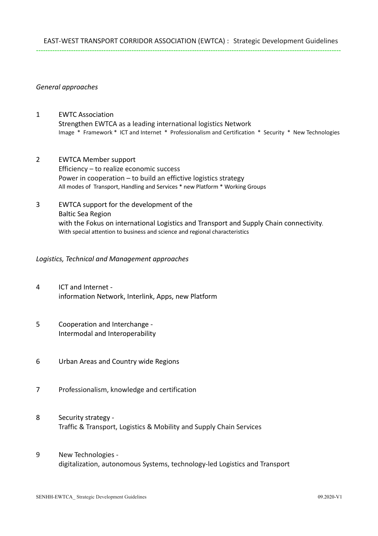#### *General approaches*

- 1 EWTC Association Strengthen EWTCA as a leading international logistics Network Image \* Framework \* ICT and Internet \* Professionalism and Certification \* Security \* New Technologies
- 2 EWTCA Member support Efficiency – to realize economic success Power in cooperation – to build an effictive logistics strategy All modes of Transport, Handling and Services \* new Platform \* Working Groups
- 3 EWTCA support for the development of the Baltic Sea Region with the Fokus on international Logistics and Transport and Supply Chain connectivity. With special attention to business and science and regional characteristics

#### *Logistics, Technical and Management approaches*

- 4 ICT and Internet information Network, Interlink, Apps, new Platform
- 5 Cooperation and Interchange Intermodal and Interoperability
- 6 Urban Areas and Country wide Regions
- 7 Professionalism, knowledge and certification
- 8 Security strategy Traffic & Transport, Logistics & Mobility and Supply Chain Services
- 9 New Technologies digitalization, autonomous Systems, technology-led Logistics and Transport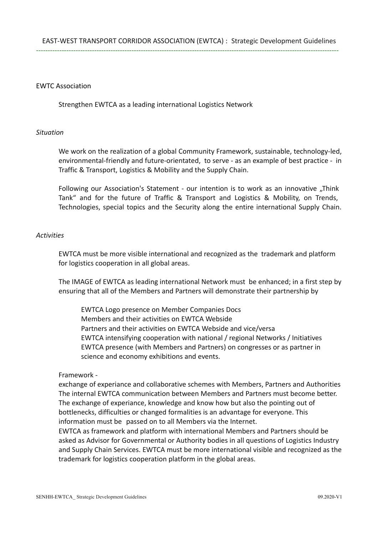#### EWTC Association

Strengthen EWTCA as a leading international Logistics Network

#### *Situation*

We work on the realization of a global Community Framework, sustainable, technology-led, environmental-friendly and future-orientated, to serve - as an example of best practice - in Traffic & Transport, Logistics & Mobility and the Supply Chain.

Following our Association's Statement - our intention is to work as an innovative "Think Tank" and for the future of Traffic & Transport and Logistics & Mobility, on Trends, Technologies, special topics and the Security along the entire international Supply Chain.

#### *Activities*

EWTCA must be more visible international and recognized as the trademark and platform for logistics cooperation in all global areas.

The IMAGE of EWTCA as leading international Network must be enhanced; in a first step by ensuring that all of the Members and Partners will demonstrate their partnership by

EWTCA Logo presence on Member Companies Docs Members and their activities on EWTCA Webside Partners and their activities on EWTCA Webside and vice/versa EWTCA intensifying cooperation with national / regional Networks / Initiatives EWTCA presence (with Members and Partners) on congresses or as partner in science and economy exhibitions and events.

#### Framework -

exchange of experiance and collaborative schemes with Members, Partners and Authorities The internal EWTCA communication between Members and Partners must become better. The exchange of experiance, knowledge and know how but also the pointing out of bottlenecks, difficulties or changed formalities is an advantage for everyone. This information must be passed on to all Members via the Internet.

EWTCA as framework and platform with international Members and Partners should be asked as Advisor for Governmental or Authority bodies in all questions of Logistics Industry and Supply Chain Services. EWTCA must be more international visible and recognized as the trademark for logistics cooperation platform in the global areas.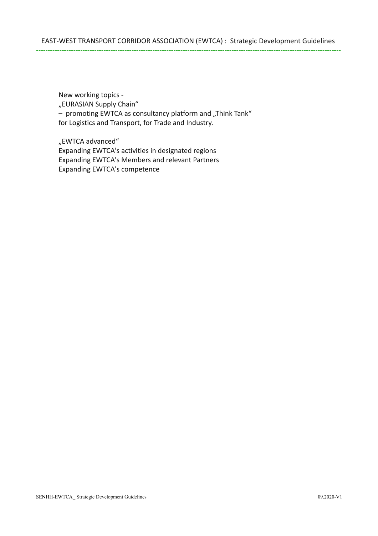New working topics - "EURASIAN Supply Chain" - promoting EWTCA as consultancy platform and "Think Tank" for Logistics and Transport, for Trade and Industry.

"EWTCA advanced" Expanding EWTCA's activities in designated regions Expanding EWTCA's Members and relevant Partners Expanding EWTCA's competence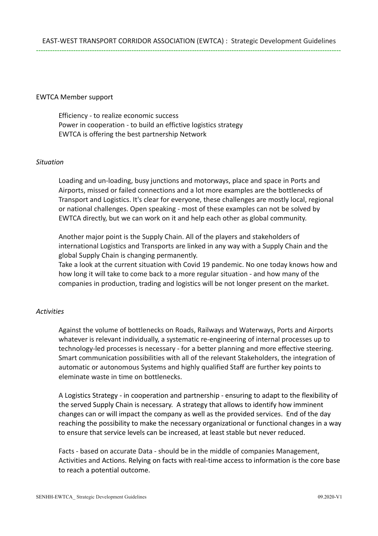#### EWTCA Member support

Efficiency - to realize economic success Power in cooperation - to build an effictive logistics strategy EWTCA is offering the best partnership Network

#### *Situation*

Loading and un-loading, busy junctions and motorways, place and space in Ports and Airports, missed or failed connections and a lot more examples are the bottlenecks of Transport and Logistics. It's clear for everyone, these challenges are mostly local, regional or national challenges. Open speaking - most of these examples can not be solved by EWTCA directly, but we can work on it and help each other as global community.

Another major point is the Supply Chain. All of the players and stakeholders of international Logistics and Transports are linked in any way with a Supply Chain and the global Supply Chain is changing permanently.

Take a look at the current situation with Covid 19 pandemic. No one today knows how and how long it will take to come back to a more regular situation - and how many of the companies in production, trading and logistics will be not longer present on the market.

## *Activities*

Against the volume of bottlenecks on Roads, Railways and Waterways, Ports and Airports whatever is relevant individually, a systematic re-engineering of internal processes up to technology-led processes is necessary - for a better planning and more effective steering. Smart communication possibilities with all of the relevant Stakeholders, the integration of automatic or autonomous Systems and highly qualified Staff are further key points to eleminate waste in time on bottlenecks.

A Logistics Strategy - in cooperation and partnership - ensuring to adapt to the flexibility of the served Supply Chain is necessary. A strategy that allows to identify how imminent changes can or will impact the company as well as the provided services. End of the day reaching the possibility to make the necessary organizational or functional changes in a way to ensure that service levels can be increased, at least stable but never reduced.

Facts - based on accurate Data - should be in the middle of companies Management, Activities and Actions. Relying on facts with real-time access to information is the core base to reach a potential outcome.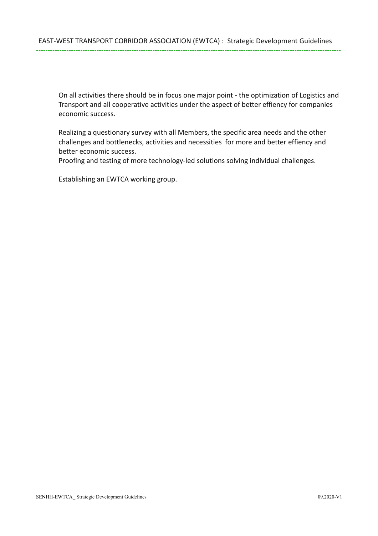On all activities there should be in focus one major point - the optimization of Logistics and Transport and all cooperative activities under the aspect of better effiency for companies economic success.

Realizing a questionary survey with all Members, the specific area needs and the other challenges and bottlenecks, activities and necessities for more and better effiency and better economic success.

Proofing and testing of more technology-led solutions solving individual challenges.

Establishing an EWTCA working group.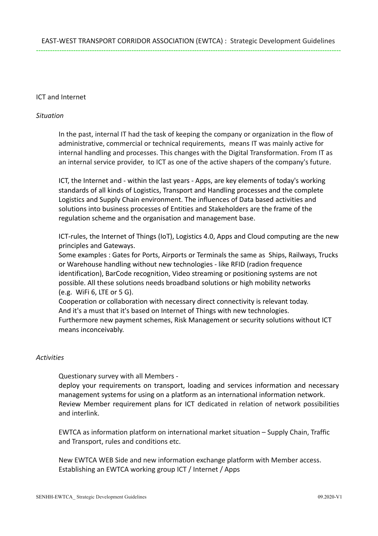## ICT and Internet

#### *Situation*

In the past, internal IT had the task of keeping the company or organization in the flow of administrative, commercial or technical requirements, means IT was mainly active for internal handling and processes. This changes with the Digital Transformation. From IT as an internal service provider, to ICT as one of the active shapers of the company's future.

ICT, the Internet and - within the last years - Apps, are key elements of today's working standards of all kinds of Logistics, Transport and Handling processes and the complete Logistics and Supply Chain environment. The influences of Data based activities and solutions into business processes of Entities and Stakeholders are the frame of the regulation scheme and the organisation and management base.

ICT-rules, the Internet of Things (IoT), Logistics 4.0, Apps and Cloud computing are the new principles and Gateways.

Some examples : Gates for Ports, Airports or Terminals the same as Ships, Railways, Trucks or Warehouse handling without new technologies - like RFID (radion frequence identification), BarCode recognition, Video streaming or positioning systems are not possible. All these solutions needs broadband solutions or high mobility networks (e.g. WiFi 6, LTE or 5 G).

Cooperation or collaboration with necessary direct connectivity is relevant today. And it's a must that it's based on Internet of Things with new technologies. Furthermore new payment schemes, Risk Management or security solutions without ICT means inconceivably.

#### *Activities*

Questionary survey with all Members -

deploy your requirements on transport, loading and services information and necessary management systems for using on a platform as an international information network. Review Member requirement plans for ICT dedicated in relation of network possibilities and interlink.

EWTCA as information platform on international market situation – Supply Chain, Traffic and Transport, rules and conditions etc.

New EWTCA WEB Side and new information exchange platform with Member access. Establishing an EWTCA working group ICT / Internet / Apps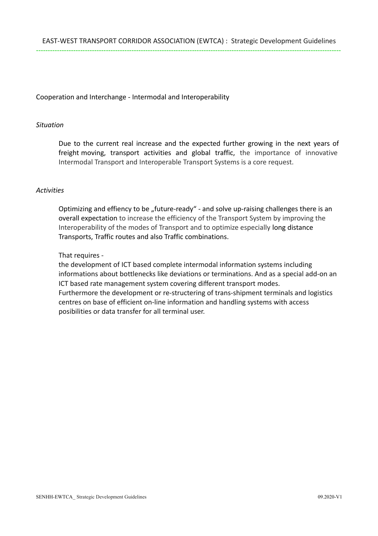## Cooperation and Interchange - Intermodal and Interoperability

#### *Situation*

Due to the current real increase and the expected further growing in the next years of freight moving, transport activities and global traffic, the importance of innovative Intermodal Transport and Interoperable Transport Systems is a core request.

#### *Activities*

Optimizing and effiency to be "future-ready" - and solve up-raising challenges there is an overall expectation to increase the efficiency of the Transport System by improving the Interoperability of the modes of Transport and to optimize especially long distance Transports, Traffic routes and also Traffic combinations.

#### That requires -

the development of ICT based complete intermodal information systems including informations about bottlenecks like deviations or terminations. And as a special add-on an ICT based rate management system covering different transport modes. Furthermore the development or re-structering of trans-shipment terminals and logistics centres on base of efficient on-line information and handling systems with access posibilities or data transfer for all terminal user.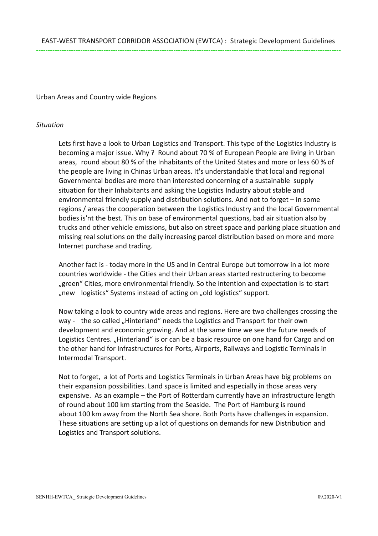## Urban Areas and Country wide Regions

## *Situation*

Lets first have a look to Urban Logistics and Transport. This type of the Logistics Industry is becoming a major issue. Why ? Round about 70 % of European People are living in Urban areas, round about 80 % of the Inhabitants of the United States and more or less 60 % of the people are living in Chinas Urban areas. It's understandable that local and regional Governmental bodies are more than interested concerning of a sustainable supply situation for their Inhabitants and asking the Logistics Industry about stable and environmental friendly supply and distribution solutions. And not to forget – in some regions / areas the cooperation between the Logistics Industry and the local Governmental bodies is'nt the best. This on base of environmental questions, bad air situation also by trucks and other vehicle emissions, but also on street space and parking place situation and missing real solutions on the daily increasing parcel distribution based on more and more Internet purchase and trading.

Another fact is - today more in the US and in Central Europe but tomorrow in a lot more countries worldwide - the Cities and their Urban areas started restructering to become "green" Cities, more environmental friendly. So the intention and expectation is to start "new logistics" Systems instead of acting on "old logistics" support.

Now taking a look to country wide areas and regions. Here are two challenges crossing the way - the so called "Hinterland" needs the Logistics and Transport for their own development and economic growing. And at the same time we see the future needs of Logistics Centres. "Hinterland" is or can be a basic resource on one hand for Cargo and on the other hand for Infrastructures for Ports, Airports, Railways and Logistic Terminals in Intermodal Transport.

Not to forget, a lot of Ports and Logistics Terminals in Urban Areas have big problems on their expansion possibilities. Land space is limited and especially in those areas very expensive. As an example – the Port of Rotterdam currently have an infrastructure length of round about 100 km starting from the Seaside. The Port of Hamburg is round about 100 km away from the North Sea shore. Both Ports have challenges in expansion. These situations are setting up a lot of questions on demands for new Distribution and Logistics and Transport solutions.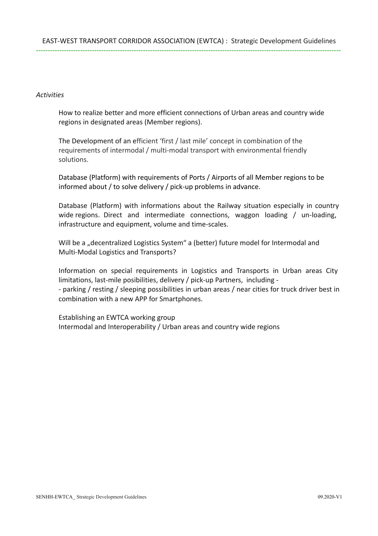#### *Activities*

How to realize better and more efficient connections of Urban areas and country wide regions in designated areas (Member regions).

The Development of an efficient 'first / last mile' concept in combination of the requirements of intermodal / multi-modal transport with environmental friendly solutions.

Database (Platform) with requirements of Ports / Airports of all Member regions to be informed about / to solve delivery / pick-up problems in advance.

Database (Platform) with informations about the Railway situation especially in country wide regions. Direct and intermediate connections, waggon loading / un-loading, infrastructure and equipment, volume and time-scales.

Will be a "decentralized Logistics System" a (better) future model for Intermodal and Multi-Modal Logistics and Transports?

Information on special requirements in Logistics and Transports in Urban areas City limitations, last-mile posibilities, delivery / pick-up Partners, including - - parking / resting / sleeping possibilities in urban areas / near cities for truck driver best in combination with a new APP for Smartphones.

Establishing an EWTCA working group Intermodal and Interoperability / Urban areas and country wide regions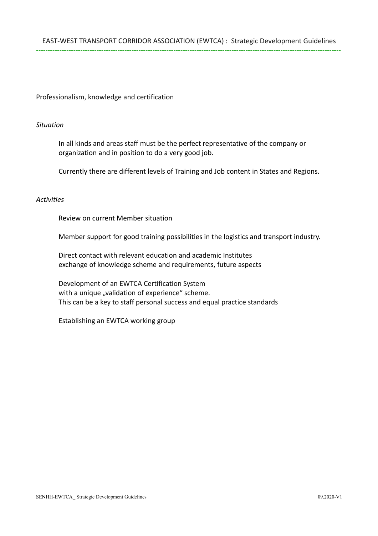Professionalism, knowledge and certification

#### *Situation*

In all kinds and areas staff must be the perfect representative of the company or organization and in position to do a very good job.

Currently there are different levels of Training and Job content in States and Regions.

#### *Activities*

Review on current Member situation

Member support for good training possibilities in the logistics and transport industry.

Direct contact with relevant education and academic Institutes exchange of knowledge scheme and requirements, future aspects

Development of an EWTCA Certification System with a unique "validation of experience" scheme. This can be a key to staff personal success and equal practice standards

Establishing an EWTCA working group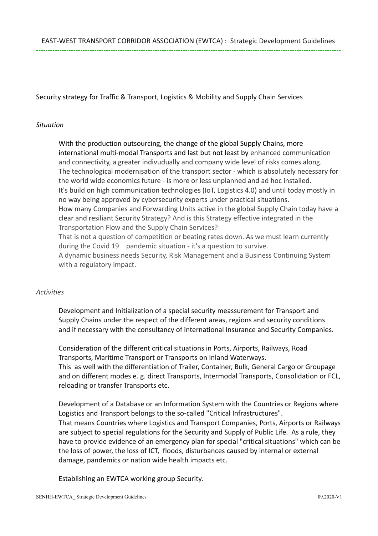Security strategy for Traffic & Transport, Logistics & Mobility and Supply Chain Services

## *Situation*

With the production outsourcing, the change of the global Supply Chains, more international multi-modal Transports and last but not least by enhanced communication and connectivity, a greater indivudually and company wide level of risks comes along. The technological modernisation of the transport sector - which is absolutely necessary for the world wide economics future - is more or less unplanned and ad hoc installed. It's build on high communication technologies (IoT, Logistics 4.0) and until today mostly in no way being approved by cybersecurity experts under practical situations. How many Companies and Forwarding Units active in the global Supply Chain today have a clear and resiliant Security Strategy? And is this Strategy effective integrated in the Transportation Flow and the Supply Chain Services? That is not a question of competition or beating rates down. As we must learn currently during the Covid 19 pandemic situation - it's a question to survive. A dynamic business needs Security, Risk Management and a Business Continuing System with a regulatory impact.

## *Activities*

Development and Initialization of a special security meassurement for Transport and Supply Chains under the respect of the different areas, regions and security conditions and if necessary with the consultancy of international Insurance and Security Companies.

Consideration of the different critical situations in Ports, Airports, Railways, Road Transports, Maritime Transport or Transports on Inland Waterways. This as well with the differentiation of Trailer, Container, Bulk, General Cargo or Groupage and on different modes e. g. direct Transports, Intermodal Transports, Consolidation or FCL, reloading or transfer Transports etc.

Development of a Database or an Information System with the Countries or Regions where Logistics and Transport belongs to the so-called "Critical Infrastructures". That means Countries where Logistics and Transport Companies, Ports, Airports or Railways are subject to special regulations for the Security and Supply of Public Life. As a rule, they have to provide evidence of an emergency plan for special "critical situations" which can be the loss of power, the loss of ICT, floods, disturbances caused by internal or external damage, pandemics or nation wide health impacts etc.

Establishing an EWTCA working group Security.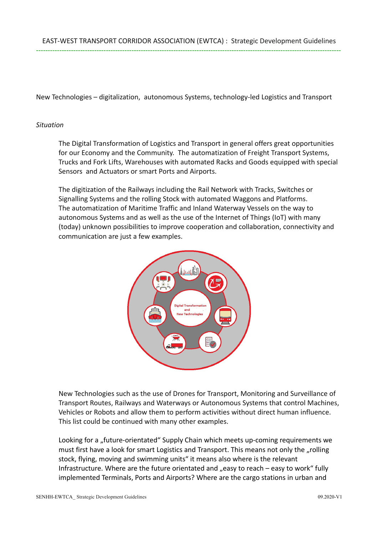New Technologies – digitalization, autonomous Systems, technology-led Logistics and Transport

#### *Situation*

The Digital Transformation of Logistics and Transport in general offers great opportunities for our Economy and the Community. The automatization of Freight Transport Systems, Trucks and Fork Lifts, Warehouses with automated Racks and Goods equipped with special Sensors and Actuators or smart Ports and Airports.

The digitization of the Railways including the Rail Network with Tracks, Switches or Signalling Systems and the rolling Stock with automated Waggons and Platforms. The automatization of Maritime Traffic and Inland Waterway Vessels on the way to autonomous Systems and as well as the use of the Internet of Things (IoT) with many (today) unknown possibilities to improve cooperation and collaboration, connectivity and communication are just a few examples.



New Technologies such as the use of Drones for Transport, Monitoring and Surveillance of Transport Routes, Railways and Waterways or Autonomous Systems that control Machines, Vehicles or Robots and allow them to perform activities without direct human influence. This list could be continued with many other examples.

Looking for a "future-orientated" Supply Chain which meets up-coming requirements we must first have a look for smart Logistics and Transport. This means not only the "rolling stock, flying, moving and swimming units" it means also where is the relevant Infrastructure. Where are the future orientated and  $n$  easy to reach – easy to work "fully implemented Terminals, Ports and Airports? Where are the cargo stations in urban and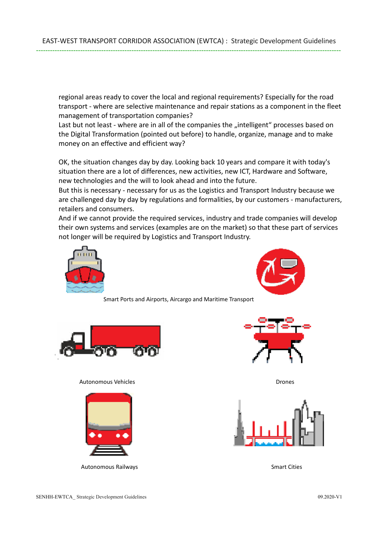regional areas ready to cover the local and regional requirements? Especially for the road transport - where are selective maintenance and repair stations as a component in the fleet management of transportation companies?

Last but not least - where are in all of the companies the "intelligent" processes based on the Digital Transformation (pointed out before) to handle, organize, manage and to make money on an effective and efficient way?

OK, the situation changes day by day. Looking back 10 years and compare it with today's situation there are a lot of differences, new activities, new ICT, Hardware and Software, new technologies and the will to look ahead and into the future.

But this is necessary - necessary for us as the Logistics and Transport Industry because we are challenged day by day by regulations and formalities, by our customers - manufacturers, retailers and consumers.

And if we cannot provide the required services, industry and trade companies will develop their own systems and services (examples are on the market) so that these part of services not longer will be required by Logistics and Transport Industry.





Smart Ports and Airports, Aircargo and Maritime Transport



#### Autonomous Vehicles **Drones Autonomous Vehicles** Drones Drones and Drones Drones Drones Drones Drones Drones Dro



Autonomous Railways **Smart Cities** Smart Cities



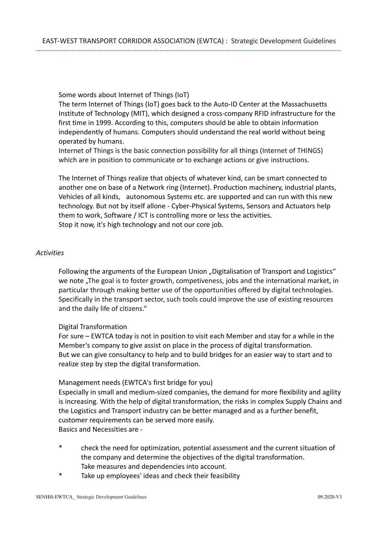Some words about Internet of Things (IoT)

The term Internet of Things (IoT) goes back to the Auto-ID Center at the Massachusetts Institute of Technology (MIT), which designed a cross-company RFID infrastructure for the first time in 1999. According to this, computers should be able to obtain information independently of humans. Computers should understand the real world without being operated by humans.

Internet of Things is the basic connection possibility for all things (Internet of THINGS) which are in position to communicate or to exchange actions or give instructions.

The Internet of Things realize that objects of whatever kind, can be smart connected to another one on base of a Network ring (Internet). Production machinery, industrial plants, Vehicles of all kinds, autonomous Systems etc. are supported and can run with this new technology. But not by itself allone - Cyber-Physical Systems, Sensors and Actuators help them to work, Software / ICT is controlling more or less the activities. Stop it now, it's high technology and not our core job.

## *Activities*

Following the arguments of the European Union "Digitalisation of Transport and Logistics" we note "The goal is to foster growth, competiveness, jobs and the international market, in particular through making better use of the opportunities offered by digital technologies. Specifically in the transport sector, such tools could improve the use of existing resources and the daily life of citizens."

## Digital Transformation

For sure – EWTCA today is not in position to visit each Member and stay for a while in the Member's company to give assist on place in the process of digital transformation. But we can give consultancy to help and to build bridges for an easier way to start and to realize step by step the digital transformation.

## Management needs (EWTCA's first bridge for you)

Especially in small and medium-sized companies, the demand for more flexibility and agility is increasing. With the help of digital transformation, the risks in complex Supply Chains and the Logistics and Transport industry can be better managed and as a further benefit, customer requirements can be served more easily. Basics and Necessities are -

- check the need for optimization, potential assessment and the current situation of the company and determine the objectives of the digital transformation. Take measures and dependencies into account.
- \* Take up employees' ideas and check their feasibility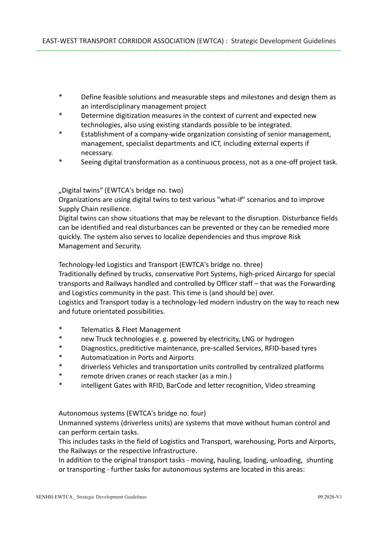- \* Define feasible solutions and measurable steps and milestones and design them as an interdisciplinary management project
- \* Determine digitization measures in the context of current and expected new technologies, also using existing standards possible to be integrated.
- Establishment of a company-wide organization consisting of senior management, management, specialist departments and ICT, including external experts if necessary.
- Seeing digital transformation as a continuous process, not as a one-off project task.

## "Digital twins" (EWTCA's bridge no. two)

Organizations are using digital twins to test various "what-if" scenarios and to improve Supply Chain resilience.

Digital twins can show situations that may be relevant to the disruption. Disturbance fields can be identified and real disturbances can be prevented or they can be remedied more quickly. The system also serves to localize dependencies and thus improve Risk Management and Security.

Technology-led Logistics and Transport (EWTCA's bridge no. three)

Traditionally defined by trucks, conservative Port Systems, high-priced Aircargo for special transports and Railways handled and controlled by Officer staff – that was the Forwarding and Logistics community in the past. This time is (and should be) over.

Logistics and Transport today is a technology-led modern industry on the way to reach new and future orientated possibilities.

- \* Telematics & Fleet Management
- \* new Truck technologies e. g. powered by electricity, LNG or hydrogen
- \* Diagnostics, preditictive maintenance, pre-scalled Services, RFID-based tyres
- \* Automatization in Ports and Airports
- \* driverless Vehicles and transportation units controlled by centralized platforms
- \* remote driven cranes or reach stacker (as a min.)
- intelligent Gates with RFID, BarCode and letter recognition, Video streaming

Autonomous systems (EWTCA's bridge no. four)

Unmanned systems (driverless units) are systems that move without human control and can perform certain tasks.

This includes tasks in the field of Logistics and Transport, warehousing, Ports and Airports, the Railways or the respective Infrastructure.

In addition to the original transport tasks - moving, hauling, loading, unloading, shunting or transporting - further tasks for autonomous systems are located in this areas: